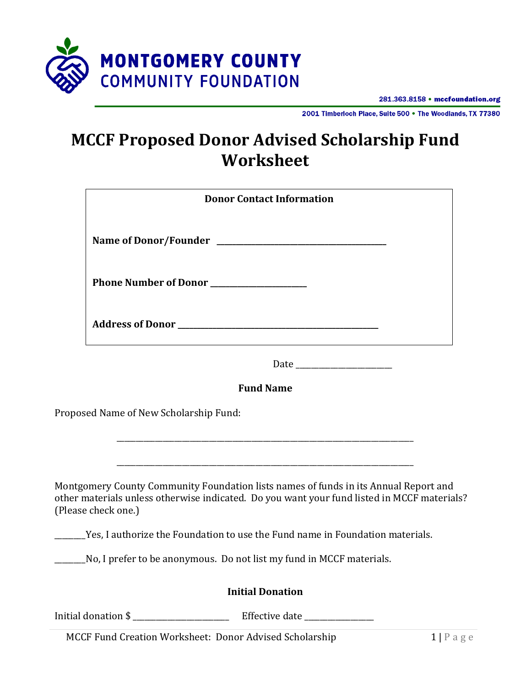

2001 Timberloch Place, Suite 500 . The Woodlands, TX 77380

# **MCCF Proposed Donor Advised Scholarship Fund Worksheet**

|                                                                                     | <b>Donor Contact Information</b>                                                                                                                                                    |  |  |
|-------------------------------------------------------------------------------------|-------------------------------------------------------------------------------------------------------------------------------------------------------------------------------------|--|--|
|                                                                                     |                                                                                                                                                                                     |  |  |
|                                                                                     | Phone Number of Donor                                                                                                                                                               |  |  |
|                                                                                     |                                                                                                                                                                                     |  |  |
|                                                                                     |                                                                                                                                                                                     |  |  |
|                                                                                     | <b>Fund Name</b>                                                                                                                                                                    |  |  |
|                                                                                     | Proposed Name of New Scholarship Fund:                                                                                                                                              |  |  |
|                                                                                     |                                                                                                                                                                                     |  |  |
| (Please check one.)                                                                 | Montgomery County Community Foundation lists names of funds in its Annual Report and<br>other materials unless otherwise indicated. Do you want your fund listed in MCCF materials? |  |  |
| ______Yes, I authorize the Foundation to use the Fund name in Foundation materials. |                                                                                                                                                                                     |  |  |
|                                                                                     | _______No, I prefer to be anonymous. Do not list my fund in MCCF materials.                                                                                                         |  |  |
|                                                                                     | <b>Initial Donation</b>                                                                                                                                                             |  |  |
| Initial donation \$                                                                 | Effective date                                                                                                                                                                      |  |  |

MCCF Fund Creation Worksheet: Donor Advised Scholarship 1 | P a g e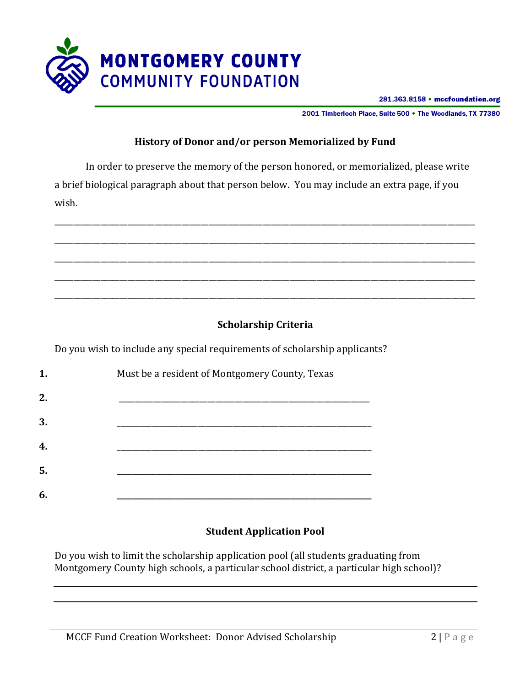

2001 Timberloch Place, Suite 500 . The Woodlands, TX 77380

### **History of Donor and/or person Memorialized by Fund**

In order to preserve the memory of the person honored, or memorialized, please write a brief biological paragraph about that person below. You may include an extra page, if you wish.



## **Scholarship Criteria**

Do you wish to include any special requirements of scholarship applicants?

| 1. | Must be a resident of Montgomery County, Texas |  |
|----|------------------------------------------------|--|
| 2. |                                                |  |
| 3. |                                                |  |
| 4. |                                                |  |
| 5. |                                                |  |
| 6. |                                                |  |

## **Student Application Pool**

Do you wish to limit the scholarship application pool (all students graduating from Montgomery County high schools, a particular school district, a particular high school)?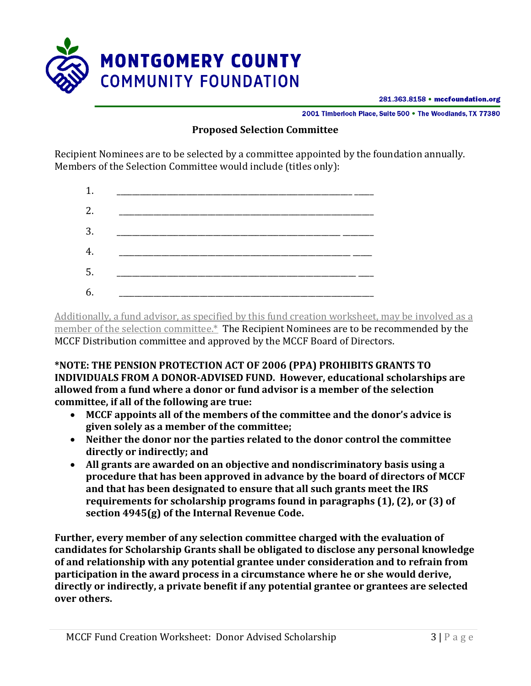

2001 Timberloch Place, Suite 500 . The Woodlands, TX 77380

#### **Proposed Selection Committee**

Recipient Nominees are to be selected by a committee appointed by the foundation annually. Members of the Selection Committee would include (titles only):



Additionally, a fund advisor, as specified by this fund creation worksheet, may be involved as a member of the selection committee.\* The Recipient Nominees are to be recommended by the MCCF Distribution committee and approved by the MCCF Board of Directors.

**\*NOTE: THE PENSION PROTECTION ACT OF 2006 (PPA) PROHIBITS GRANTS TO INDIVIDUALS FROM A DONOR-ADVISED FUND. However, educational scholarships are allowed from a fund where a donor or fund advisor is a member of the selection committee, if all of the following are true:**

- **MCCF appoints all of the members of the committee and the donor's advice is given solely as a member of the committee;**
- **Neither the donor nor the parties related to the donor control the committee directly or indirectly; and**
- **All grants are awarded on an objective and nondiscriminatory basis using a procedure that has been approved in advance by the board of directors of MCCF and that has been designated to ensure that all such grants meet the IRS requirements for scholarship programs found in paragraphs (1), (2), or (3) of section 4945(g) of the Internal Revenue Code.**

**Further, every member of any selection committee charged with the evaluation of candidates for Scholarship Grants shall be obligated to disclose any personal knowledge of and relationship with any potential grantee under consideration and to refrain from participation in the award process in a circumstance where he or she would derive, directly or indirectly, a private benefit if any potential grantee or grantees are selected over others.**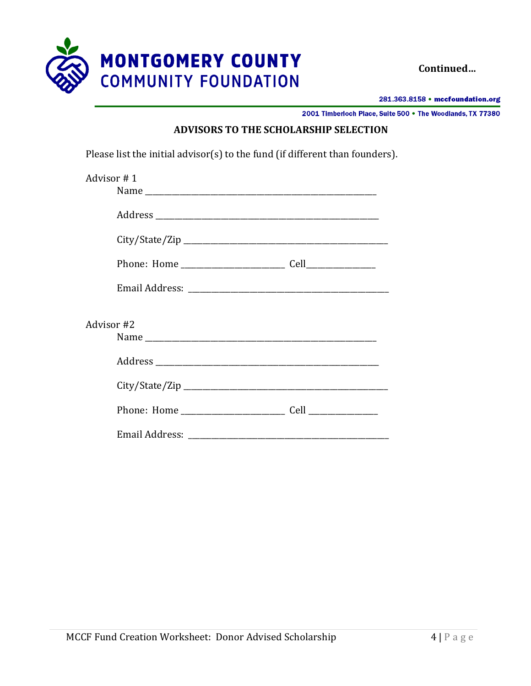

**Continued…**

281.363.8158 • mccfoundation.org

2001 Timberloch Place, Suite 500 . The Woodlands, TX 77380

### **ADVISORS TO THE SCHOLARSHIP SELECTION**

Please list the initial advisor(s) to the fund (if different than founders).

| Advisor #1 |  |  |  |  |
|------------|--|--|--|--|
|            |  |  |  |  |
|            |  |  |  |  |
|            |  |  |  |  |
|            |  |  |  |  |
|            |  |  |  |  |
|            |  |  |  |  |
| Advisor #2 |  |  |  |  |
|            |  |  |  |  |
|            |  |  |  |  |
|            |  |  |  |  |
|            |  |  |  |  |
|            |  |  |  |  |